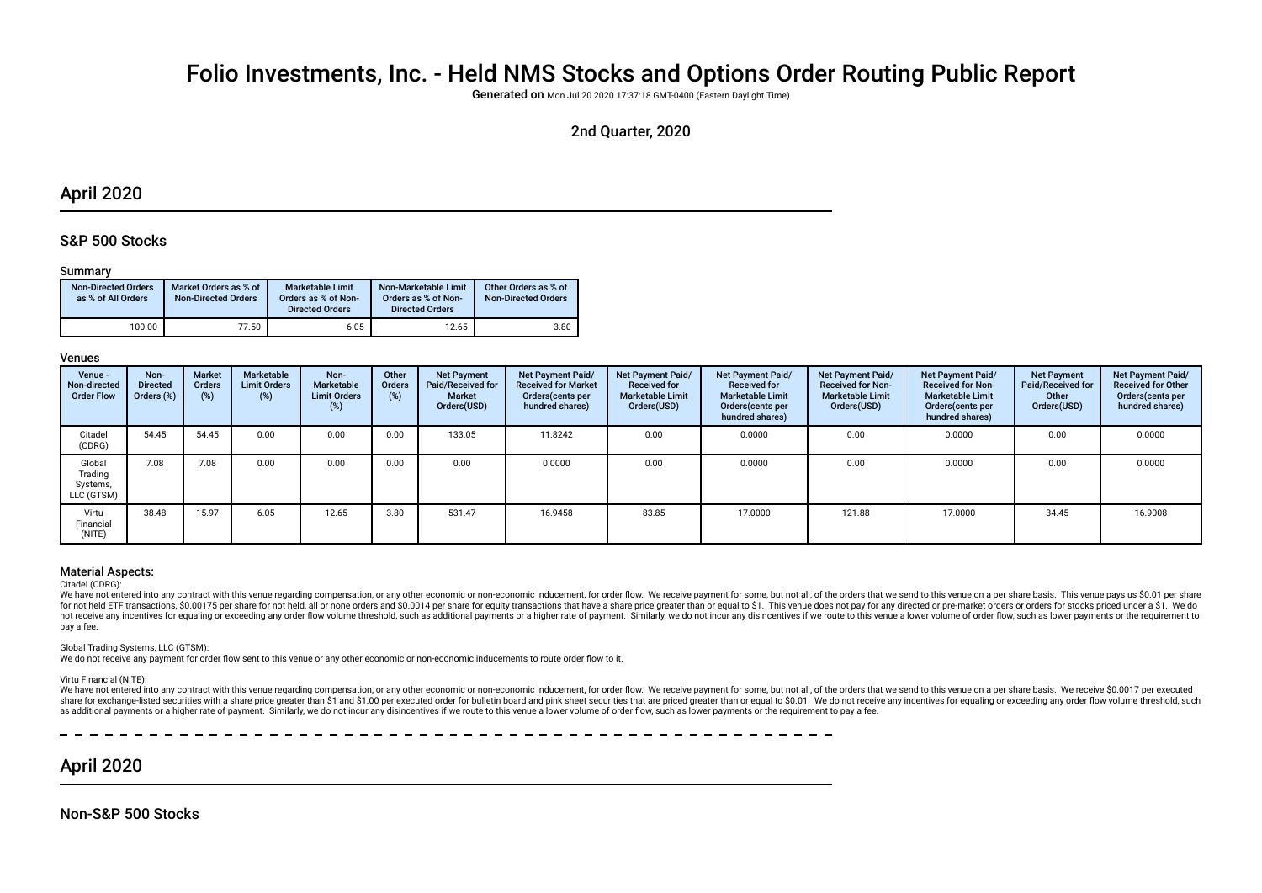# Folio Investments, Inc. - Held NMS Stocks and Options Order Routing Public Report

Generated on Mon Jul 20 2020 17:37:18 GMT-0400 (Eastern Daylight Time)

# 2nd Quarter, 2020

# April 2020

# S&P 500 Stocks

## Summary

| <b>Non-Directed Orders</b><br>as % of All Orders | Market Orders as % of<br><b>Non-Directed Orders</b> | Marketable Limit<br>Orders as % of Non-<br><b>Directed Orders</b> | Non-Marketable Limit<br>Orders as % of Non-<br><b>Directed Orders</b> | Other Orders as % of<br><b>Non-Directed Orders</b> |
|--------------------------------------------------|-----------------------------------------------------|-------------------------------------------------------------------|-----------------------------------------------------------------------|----------------------------------------------------|
| 100.00                                           | 77.50                                               | 6.05                                                              | 12.65                                                                 | 3.80                                               |

#### Venues

| Venue -<br>Non-directed<br><b>Order Flow</b> | Non-<br><b>Directed</b><br>Orders (%) | <b>Market</b><br><b>Orders</b><br>(%) | Marketable<br><b>Limit Orders</b><br>(%) | Non-<br>Marketable<br><b>Limit Orders</b><br>$(\%)$ | Other<br><b>Orders</b><br>(%) | <b>Net Payment</b><br>Paid/Received for<br>Market<br>Orders(USD) | <b>Net Payment Paid/</b><br><b>Received for Market</b><br>Orders(cents per<br>hundred shares) | Net Payment Paid/<br><b>Received for</b><br><b>Marketable Limit</b><br>Orders(USD) | Net Payment Paid/<br><b>Received for</b><br><b>Marketable Limit</b><br>Orders (cents per<br>hundred shares) | Net Payment Paid/<br><b>Received for Non-</b><br><b>Marketable Limit</b><br>Orders(USD) | Net Payment Paid/<br><b>Received for Non-</b><br><b>Marketable Limit</b><br>Orders (cents per<br>hundred shares) | <b>Net Payment</b><br>Paid/Received for<br>Other<br>Orders(USD) | Net Payment Paid/<br><b>Received for Other</b><br>Orders(cents per<br>hundred shares) |
|----------------------------------------------|---------------------------------------|---------------------------------------|------------------------------------------|-----------------------------------------------------|-------------------------------|------------------------------------------------------------------|-----------------------------------------------------------------------------------------------|------------------------------------------------------------------------------------|-------------------------------------------------------------------------------------------------------------|-----------------------------------------------------------------------------------------|------------------------------------------------------------------------------------------------------------------|-----------------------------------------------------------------|---------------------------------------------------------------------------------------|
| Citadel<br>(CDRG)                            | 54.45                                 | 54.45                                 | 0.00                                     | 0.00                                                | 0.00                          | 133.05                                                           | 11.8242                                                                                       | 0.00                                                                               | 0.0000                                                                                                      | 0.00                                                                                    | 0.0000                                                                                                           | 0.00                                                            | 0.0000                                                                                |
| Global<br>Trading<br>Systems,<br>LLC (GTSM)  | 7.08                                  | 7.08                                  | 0.00                                     | 0.00                                                | 0.00                          | 0.00                                                             | 0.0000                                                                                        | 0.00                                                                               | 0.0000                                                                                                      | 0.00                                                                                    | 0.0000                                                                                                           | 0.00                                                            | 0.0000                                                                                |
| Virtu<br>Financial<br>(NITE)                 | 38.48                                 | 15.97                                 | 6.05                                     | 12.65                                               | 3.80                          | 531.47                                                           | 16.9458                                                                                       | 83.85                                                                              | 17.0000                                                                                                     | 121.88                                                                                  | 17.0000                                                                                                          | 34.45                                                           | 16.9008                                                                               |

## Material Aspects:

#### Citadel (CDRG):

We have not entered into any contract with this venue regarding compensation, or any other economic or non-economic inducement, for order flow. We receive payment for some, but not all, of the orders that we send to this v for not held ETF transactions, \$0.00175 per share for not held, all or none orders and \$0.0014 per share for equity transactions that have a share price greater than or equal to \$1. This venue does not pay for any directed not receive any incentives for equaling or exceeding any order flow volume threshold, such as additional payments or a higher rate of payment. Similarly, we do not incur any disincentives if we route to this venue a lower pay a fee.

Global Trading Systems, LLC (GTSM):

We do not receive any payment for order fow sent to this venue or any other economic or non-economic inducements to route order fow to it.

#### Virtu Financial (NITE):

We have not entered into any contract with this venue regarding compensation, or any other economic or non-economic inducement, for order flow. We receive payment for some, but not all, of the orders that we send to this v share for exchange-listed securities with a share price greater than \$1 and \$1.00 per executed order for bulletin board and pink sheet securities that are priced greater than or equal to \$0.01. We do not receive any incent as additional payments or a higher rate of payment. Similarly, we do not incur any disincentives if we route to this venue a lower volume of order flow, such as lower payments or the requirement to pay a fee.

# April 2020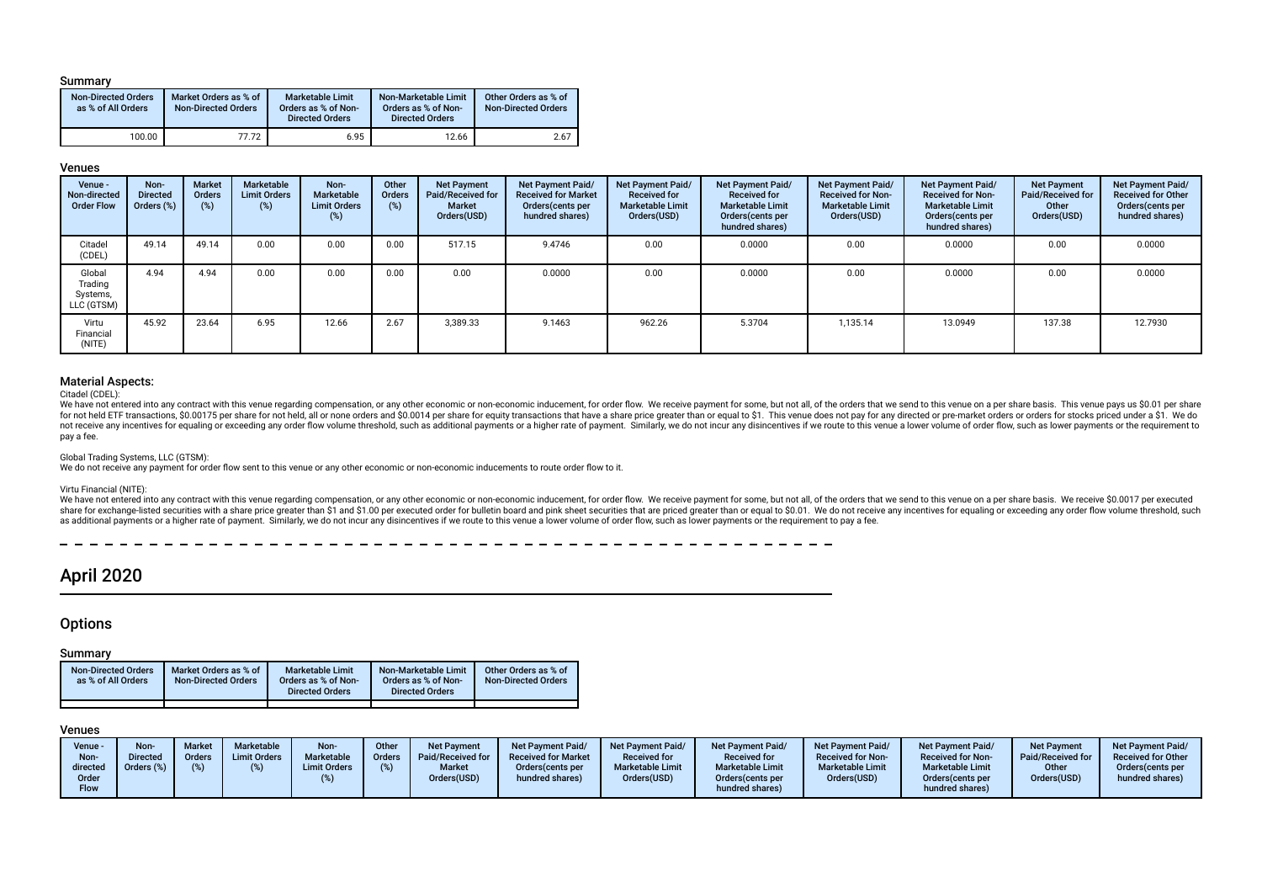#### Summary

| <b>Non-Directed Orders</b><br>as % of All Orders | Market Orders as % of<br><b>Non-Directed Orders</b> | <b>Marketable Limit</b><br>Orders as % of Non-<br><b>Directed Orders</b> | Non-Marketable Limit<br>Orders as % of Non-<br><b>Directed Orders</b> | Other Orders as % of<br><b>Non-Directed Orders</b> |
|--------------------------------------------------|-----------------------------------------------------|--------------------------------------------------------------------------|-----------------------------------------------------------------------|----------------------------------------------------|
| 100.00                                           | 77.72                                               | 6.95                                                                     | 12.66                                                                 | 2.67                                               |

## Venues

| Venue -<br>Non-directed<br><b>Order Flow</b> | Non-<br><b>Directed</b><br>Orders (%) | <b>Market</b><br>Orders<br>(%) | Marketable<br><b>Limit Orders</b><br>$(\%)$ | Non-<br>Marketable<br><b>Limit Orders</b><br>(%) | Other<br>Orders<br>$(\%)$ | <b>Net Payment</b><br>Paid/Received for<br>Market<br>Orders(USD) | <b>Net Payment Paid/</b><br><b>Received for Market</b><br>Orders (cents per<br>hundred shares) | <b>Net Payment Paid/</b><br><b>Received for</b><br><b>Marketable Limit</b><br>Orders(USD) | Net Payment Paid/<br><b>Received for</b><br><b>Marketable Limit</b><br>Orders (cents per<br>hundred shares) | Net Payment Paid/<br><b>Received for Non-</b><br><b>Marketable Limit</b><br>Orders(USD) | Net Payment Paid/<br><b>Received for Non-</b><br><b>Marketable Limit</b><br>Orders (cents per<br>hundred shares) | <b>Net Payment</b><br>Paid/Received for<br>Other<br>Orders(USD) | Net Payment Paid/<br><b>Received for Other</b><br>Orders(cents per<br>hundred shares) |
|----------------------------------------------|---------------------------------------|--------------------------------|---------------------------------------------|--------------------------------------------------|---------------------------|------------------------------------------------------------------|------------------------------------------------------------------------------------------------|-------------------------------------------------------------------------------------------|-------------------------------------------------------------------------------------------------------------|-----------------------------------------------------------------------------------------|------------------------------------------------------------------------------------------------------------------|-----------------------------------------------------------------|---------------------------------------------------------------------------------------|
| Citadel<br>(CDEL)                            | 49.14                                 | 49.14                          | 0.00                                        | 0.00                                             | 0.00                      | 517.15                                                           | 9.4746                                                                                         | 0.00                                                                                      | 0.0000                                                                                                      | 0.00                                                                                    | 0.0000                                                                                                           | 0.00                                                            | 0.0000                                                                                |
| Global<br>Trading<br>Systems,<br>LLC (GTSM)  | 4.94                                  | 4.94                           | 0.00                                        | 0.00                                             | 0.00                      | 0.00                                                             | 0.0000                                                                                         | 0.00                                                                                      | 0.0000                                                                                                      | 0.00                                                                                    | 0.0000                                                                                                           | 0.00                                                            | 0.0000                                                                                |
| Virtu<br>Financial<br>(NITE)                 | 45.92                                 | 23.64                          | 6.95                                        | 12.66                                            | 2.67                      | 3,389.33                                                         | 9.1463                                                                                         | 962.26                                                                                    | 5.3704                                                                                                      | 1,135.14                                                                                | 13.0949                                                                                                          | 137.38                                                          | 12.7930                                                                               |

## Material Aspects:

Citadel (CDEL):

We have not entered into any contract with this yenue regarding compensation, or any other economic or non-economic inducement, for order flow. We receive payment for some, but not all, of the orders that we send to this y for not held ETF transactions, \$0.00175 per share for not held, all or none orders and \$0.0014 per share for equity transactions that have a share price greater than or equal to \$1. This venue does not pay for any directed not receive any incentives for equaling or exceeding any order flow volume threshold, such as additional payments or a higher rate of payment. Similarly, we do not incur any disincentives if we route to this venue a lower pay a fee.

Global Trading Systems, LLC (GTSM):

We do not receive any payment for order fow sent to this venue or any other economic or non-economic inducements to route order fow to it.

#### Virtu Financial (NITE):

We have not entered into any contract with this venue regarding compensation, or any other economic or non-economic inducement, for order flow. We receive payment for some, but not all, of the orders that we send to this v share for exchange-listed securities with a share price greater than \$1 and \$1.00 per executed order for bulletin board and pink sheet securities that are priced greater than or equal to \$0.01. We do not receive any incent as additional payments or a higher rate of payment. Similarly, we do not incur any disincentives if we route to this venue a lower volume of order flow, such as lower payments or the requirement to pay a fee.

# April 2020

# **Options**

#### Summary

| <b>Non-Directed Orders</b><br>as % of All Orders | Market Orders as % of<br><b>Non-Directed Orders</b> | <b>Marketable Limit</b><br>Orders as % of Non-<br>Directed Orders | Non-Marketable Limit<br>Orders as % of Non-<br><b>Directed Orders</b> | Other Orders as % of<br><b>Non-Directed Orders</b> |
|--------------------------------------------------|-----------------------------------------------------|-------------------------------------------------------------------|-----------------------------------------------------------------------|----------------------------------------------------|
|                                                  |                                                     |                                                                   |                                                                       |                                                    |

## Venues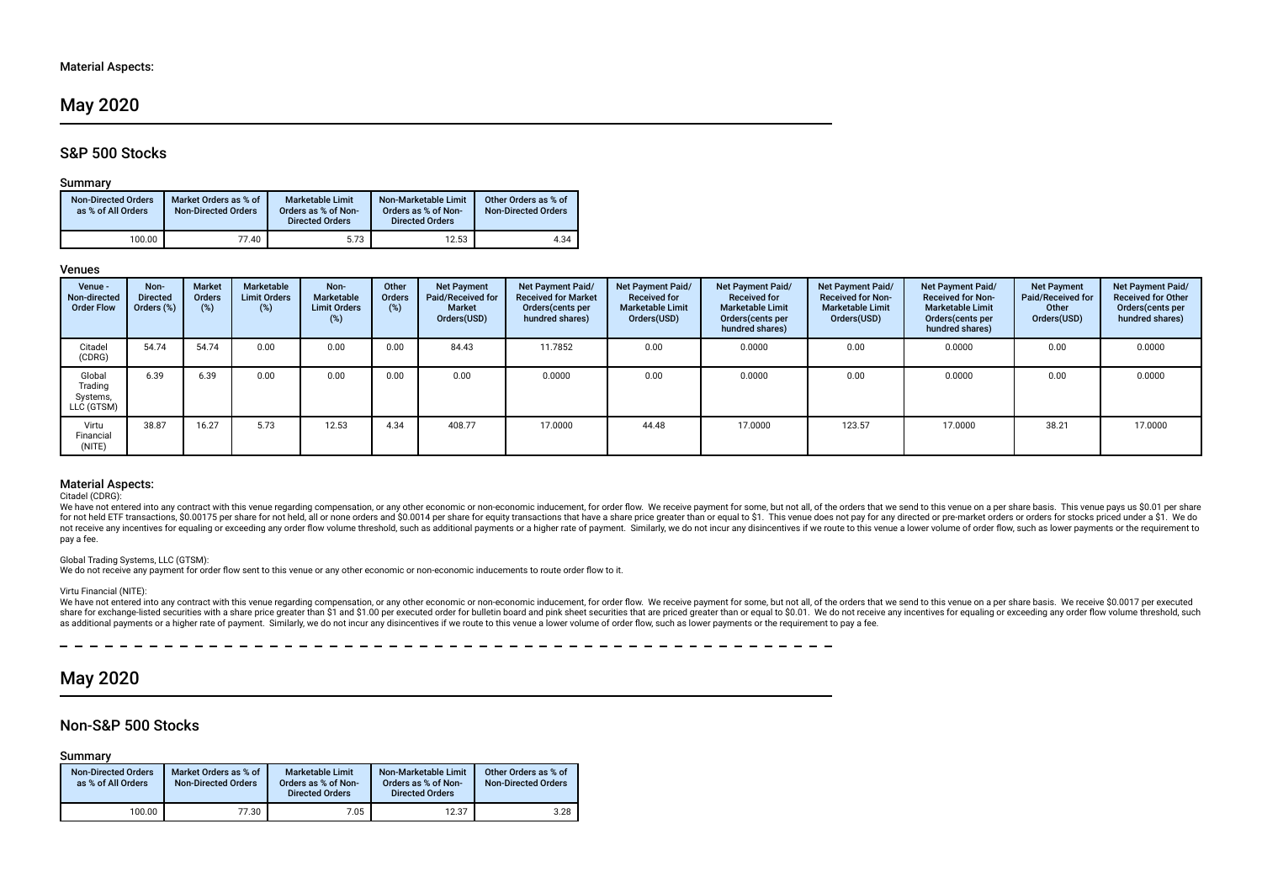# May 2020

# S&P 500 Stocks

## Summary

| <b>Non-Directed Orders</b><br>as % of All Orders | Market Orders as % of<br><b>Non-Directed Orders</b> | <b>Marketable Limit</b><br>Orders as % of Non-<br><b>Directed Orders</b> | Non-Marketable Limit<br>Orders as % of Non-<br><b>Directed Orders</b> | Other Orders as % of<br><b>Non-Directed Orders</b> |
|--------------------------------------------------|-----------------------------------------------------|--------------------------------------------------------------------------|-----------------------------------------------------------------------|----------------------------------------------------|
| 100.00                                           | 77.40                                               | 5.73                                                                     | 12.53                                                                 | 4.34                                               |

## Venues

| Venue -<br>Non-directed<br><b>Order Flow</b> | Non-<br><b>Directed</b><br>Orders (%) | <b>Market</b><br><b>Orders</b><br>(%) | Marketable<br><b>Limit Orders</b><br>$(\%)$ | Non-<br>Marketable<br><b>Limit Orders</b><br>$(\%)$ | Other<br>Orders<br>$(\%)$ | <b>Net Payment</b><br>Paid/Received for<br><b>Market</b><br>Orders(USD) | <b>Net Payment Paid/</b><br><b>Received for Market</b><br>Orders(cents per<br>hundred shares) | <b>Net Payment Paid/</b><br><b>Received for</b><br><b>Marketable Limit</b><br>Orders(USD) | Net Payment Paid/<br><b>Received for</b><br><b>Marketable Limit</b><br>Orders (cents per<br>hundred shares) | Net Payment Paid/<br><b>Received for Non-</b><br><b>Marketable Limit</b><br>Orders(USD) | Net Payment Paid/<br><b>Received for Non-</b><br><b>Marketable Limit</b><br>Orders (cents per<br>hundred shares) | <b>Net Payment</b><br>Paid/Received for<br>Other<br>Orders(USD) | Net Payment Paid/<br><b>Received for Other</b><br>Orders(cents per<br>hundred shares) |
|----------------------------------------------|---------------------------------------|---------------------------------------|---------------------------------------------|-----------------------------------------------------|---------------------------|-------------------------------------------------------------------------|-----------------------------------------------------------------------------------------------|-------------------------------------------------------------------------------------------|-------------------------------------------------------------------------------------------------------------|-----------------------------------------------------------------------------------------|------------------------------------------------------------------------------------------------------------------|-----------------------------------------------------------------|---------------------------------------------------------------------------------------|
| Citadel<br>(CDRG)                            | 54.74                                 | 54.74                                 | 0.00                                        | 0.00                                                | 0.00                      | 84.43                                                                   | 11.7852                                                                                       | 0.00                                                                                      | 0.0000                                                                                                      | 0.00                                                                                    | 0.0000                                                                                                           | 0.00                                                            | 0.0000                                                                                |
| Global<br>Trading<br>Systems,<br>LLC (GTSM)  | 6.39                                  | 6.39                                  | 0.00                                        | 0.00                                                | 0.00                      | 0.00                                                                    | 0.0000                                                                                        | 0.00                                                                                      | 0.0000                                                                                                      | 0.00                                                                                    | 0.0000                                                                                                           | 0.00                                                            | 0.0000                                                                                |
| Virtu<br>Financial<br>(NITE)                 | 38.87                                 | 16.27                                 | 5.73                                        | 12.53                                               | 4.34                      | 408.77                                                                  | 17.0000                                                                                       | 44.48                                                                                     | 17.0000                                                                                                     | 123.57                                                                                  | 17.0000                                                                                                          | 38.21                                                           | 17.0000                                                                               |

# Material Aspects:

Citadel (CDRG):

We have not entered into any contract with this venue regarding compensation, or any other economic or non-economic inducement, for order flow. We receive payment for some, but not all, of the orders that we send to this v for not held ETF transactions. \$0,00175 per share for not held, all or none orders and \$0,0014 per share for equity transactions that have a share price greater than or equal to \$1. This venue does not pay for any directed not receive any incentives for equaling or exceeding any order flow volume threshold, such as additional payments or a higher rate of payment. Similarly, we do not incur any disincentives if we route to this venue a lower pay a fee.

#### Global Trading Systems, LLC (GTSM):

We do not receive any payment for order fow sent to this venue or any other economic or non-economic inducements to route order fow to it.

#### Virtu Financial (NITE):

We have not entered into any contract with this venue regarding compensation, or any other economic or non-economic inducement, for order flow. We receive payment for some, but not all, of the orders that we send to this v share for exchange-listed securities with a share price greater than \$1 and \$1.00 per executed order for bulletin board and pink sheet securities that are priced greater than or equal to \$0.01. We do not receive any incent as additional payments or a higher rate of payment. Similarly, we do not incur any disincentives if we route to this venue a lower volume of order flow, such as lower payments or the requirement to pay a fee.

# May 2020

# Non-S&P 500 Stocks

# Summary

| <b>Non-Directed Orders</b><br>as % of All Orders | Market Orders as % of<br><b>Non-Directed Orders</b> | <b>Marketable Limit</b><br>Orders as % of Non-<br><b>Directed Orders</b> | Non-Marketable Limit<br>Orders as % of Non-<br><b>Directed Orders</b> | Other Orders as % of<br><b>Non-Directed Orders</b> |
|--------------------------------------------------|-----------------------------------------------------|--------------------------------------------------------------------------|-----------------------------------------------------------------------|----------------------------------------------------|
| 100.00                                           | 77.30                                               | 7.05                                                                     | 12.37                                                                 | 3.28                                               |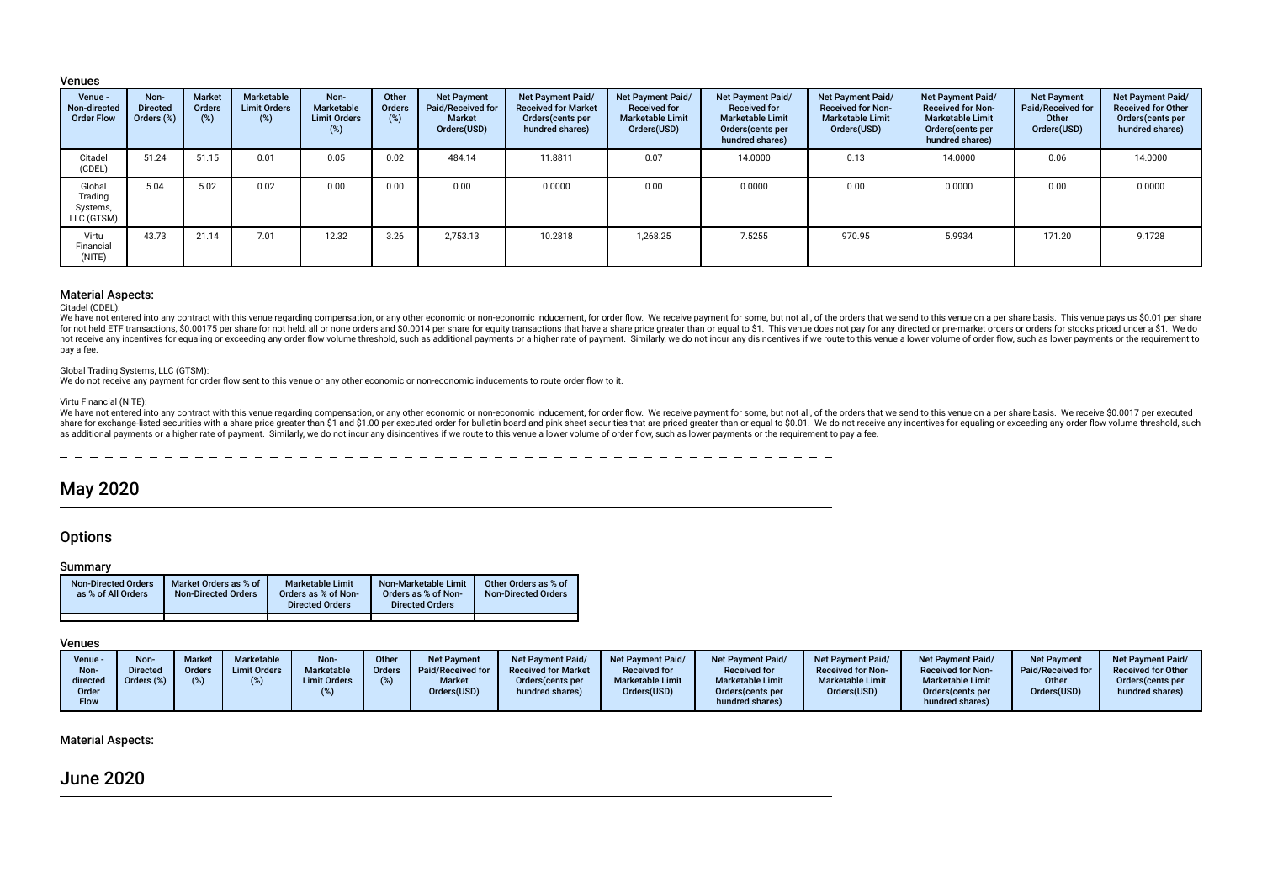#### Venues

| Venue -<br>Non-directed<br><b>Order Flow</b> | Non-<br><b>Directed</b><br>Orders (%) | <b>Market</b><br><b>Orders</b><br>(%) | Marketable<br><b>Limit Orders</b><br>$(\%)$ | Non-<br>Marketable<br><b>Limit Orders</b><br>(%) | Other<br><b>Orders</b><br>(%) | <b>Net Payment</b><br>Paid/Received for<br><b>Market</b><br>Orders(USD) | Net Payment Paid/<br><b>Received for Market</b><br>Orders(cents per<br>hundred shares) | <b>Net Payment Paid/</b><br><b>Received for</b><br><b>Marketable Limit</b><br>Orders(USD) | <b>Net Payment Paid/</b><br><b>Received for</b><br><b>Marketable Limit</b><br>Orders (cents per<br>hundred shares) | Net Payment Paid/<br><b>Received for Non-</b><br><b>Marketable Limit</b><br>Orders(USD) | Net Payment Paid/<br><b>Received for Non-</b><br><b>Marketable Limit</b><br>Orders(cents per<br>hundred shares) | <b>Net Payment</b><br>Paid/Received for<br>Other<br>Orders(USD) | Net Payment Paid/<br><b>Received for Other</b><br>Orders(cents per<br>hundred shares) |
|----------------------------------------------|---------------------------------------|---------------------------------------|---------------------------------------------|--------------------------------------------------|-------------------------------|-------------------------------------------------------------------------|----------------------------------------------------------------------------------------|-------------------------------------------------------------------------------------------|--------------------------------------------------------------------------------------------------------------------|-----------------------------------------------------------------------------------------|-----------------------------------------------------------------------------------------------------------------|-----------------------------------------------------------------|---------------------------------------------------------------------------------------|
| Citadel<br>(CDEL)                            | 51.24                                 | 51.15                                 | 0.01                                        | 0.05                                             | 0.02                          | 484.14                                                                  | 11.8811                                                                                | 0.07                                                                                      | 14.0000                                                                                                            | 0.13                                                                                    | 14.0000                                                                                                         | 0.06                                                            | 14.0000                                                                               |
| Global<br>Trading<br>Systems,<br>LLC (GTSM)  | 5.04                                  | 5.02                                  | 0.02                                        | 0.00                                             | 0.00                          | 0.00                                                                    | 0.0000                                                                                 | 0.00                                                                                      | 0.0000                                                                                                             | 0.00                                                                                    | 0.0000                                                                                                          | 0.00                                                            | 0.0000                                                                                |
| Virtu<br>Financial<br>(NITE)                 | 43.73                                 | 21.14                                 | 7.01                                        | 12.32                                            | 3.26                          | 2,753.13                                                                | 10.2818                                                                                | 1,268.25                                                                                  | 7.5255                                                                                                             | 970.95                                                                                  | 5.9934                                                                                                          | 171.20                                                          | 9.1728                                                                                |

#### Material Aspects:

Citadel (CDEL):

We have not entered into any contract with this venue regarding compensation, or any other economic or non-economic inducement, for order flow. We receive payment for some, but not all, of the orders that we send to this v for not held ETF transactions, \$0.00175 per share for not held, all or none orders and \$0.0014 per share for equity transactions that have a share price greater than or equal to \$1. This venue does not pay for any directed not receive any incentives for equaling or exceeding any order flow volume threshold, such as additional payments or a higher rate of payment. Similarly, we do not incur any disincentives if we route to this venue a lower pay a fee.

#### Global Trading Systems, LLC (GTSM):

We do not receive any payment for order flow sent to this venue or any other economic or non-economic inducements to route order flow to it.

#### Virtu Financial (NITE):

We have not entered into any contract with this venue regarding compensation, or any other economic or non-economic inducement, for order flow. We receive payment for some, but not all, of the orders that we send to this v share for exchange-listed securities with a share price greater than \$1 and \$1.00 per executed order for bulletin board and pink sheet securities that are priced greater than or equal to \$0.01. We do not receive any incent as additional payments or a higher rate of payment. Similarly, we do not incur any disincentives if we route to this venue a lower volume of order flow, such as lower payments or the requirement to pay a fee.

------------------

# May 2020

## **Options**

## Summary

| <b>Non-Directed Orders</b><br>as % of All Orders | Market Orders as % of<br><b>Non-Directed Orders</b> | <b>Marketable Limit</b><br>Orders as % of Non-<br><b>Directed Orders</b> | Non-Marketable Limit<br>Orders as % of Non-<br><b>Directed Orders</b> | Other Orders as % of<br><b>Non-Directed Orders</b> |
|--------------------------------------------------|-----------------------------------------------------|--------------------------------------------------------------------------|-----------------------------------------------------------------------|----------------------------------------------------|
|                                                  |                                                     |                                                                          |                                                                       |                                                    |

# Venues

| Marketable<br><b>Non</b><br>Other<br><b>Market</b><br>Non-<br><b>Net Payment Paid/</b><br><b>Net Payment Paid/</b><br><b>Net Payment</b><br>Venue -<br><b>Marketable</b><br>Paid/Received for<br><b>Limit Orders</b><br><b>Received for Market</b><br><b>Directed</b><br><b>Orders</b><br><b>Received for</b><br>Orders<br>Non-<br><b>Marketable Limit</b><br>Orders (%)<br><b>Market</b><br>directeo<br><b>Limit Orders</b><br>Orders (cents per<br>(% )<br>Orders(USD)<br>Orders(USD)<br>hundred shares)<br>Order<br>Flow | <b>Net Payment Paid/</b><br>Net Payment Paid/<br><b>Received for</b><br><b>Received for Non-</b><br><b>Marketable Limit</b><br><b>Marketable Limit</b><br>Orders(USD)<br>Orders (cents per<br>hundred shares) | <b>Net Payment Paid/</b><br><b>Net Payment</b><br>Paid/Received for<br><b>Received for Non-</b><br><b>Marketable Limit</b><br>Other<br>Orders(USD)<br>Orders (cents per<br>hundred shares) | Net Payment Paid/<br><b>Received for Other</b><br>Orders(cents per<br>hundred shares) |
|-----------------------------------------------------------------------------------------------------------------------------------------------------------------------------------------------------------------------------------------------------------------------------------------------------------------------------------------------------------------------------------------------------------------------------------------------------------------------------------------------------------------------------|---------------------------------------------------------------------------------------------------------------------------------------------------------------------------------------------------------------|--------------------------------------------------------------------------------------------------------------------------------------------------------------------------------------------|---------------------------------------------------------------------------------------|
|-----------------------------------------------------------------------------------------------------------------------------------------------------------------------------------------------------------------------------------------------------------------------------------------------------------------------------------------------------------------------------------------------------------------------------------------------------------------------------------------------------------------------------|---------------------------------------------------------------------------------------------------------------------------------------------------------------------------------------------------------------|--------------------------------------------------------------------------------------------------------------------------------------------------------------------------------------------|---------------------------------------------------------------------------------------|

# Material Aspects:

June 2020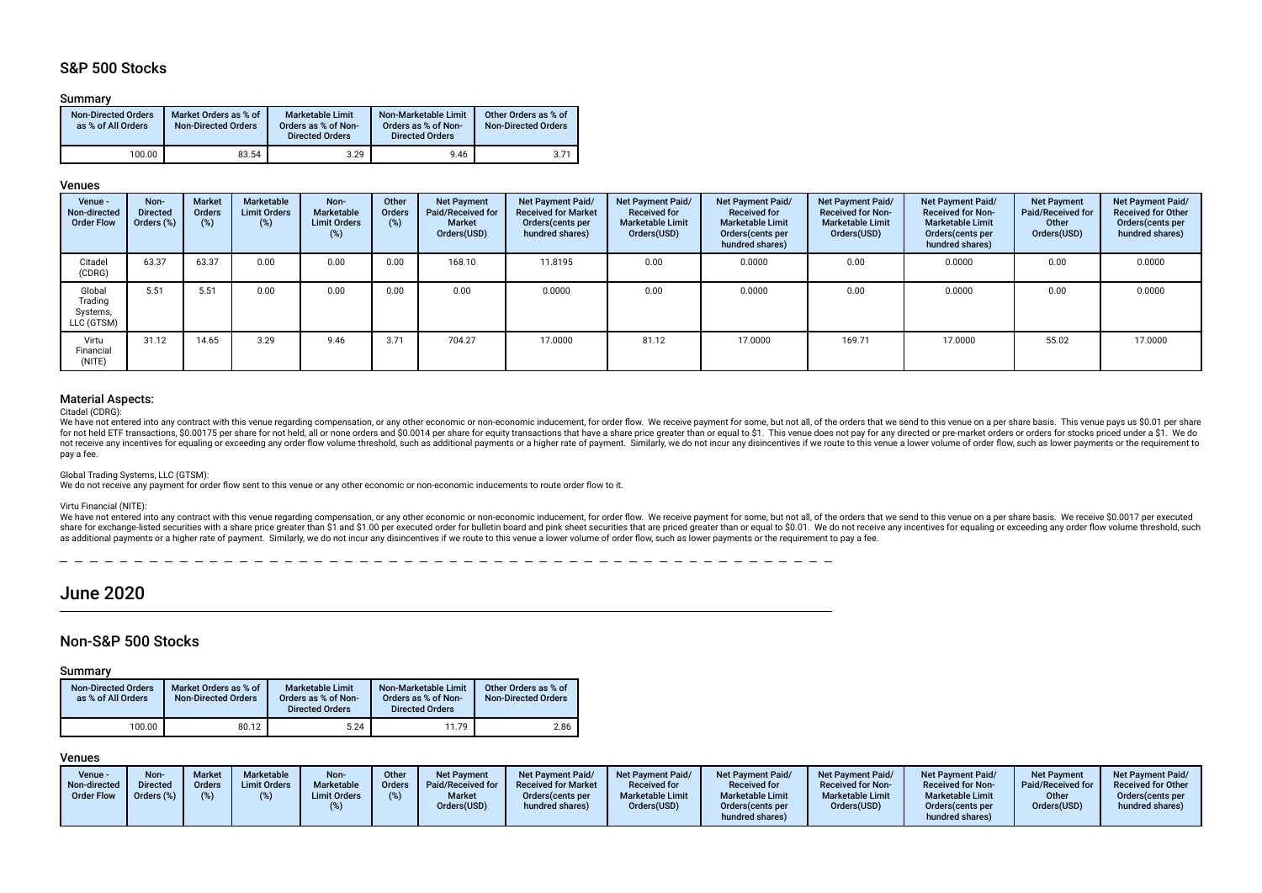# S&P 500 Stocks

## Summary

| <b>Non-Directed Orders</b><br>as % of All Orders | Market Orders as % of<br><b>Non-Directed Orders</b> | <b>Marketable Limit</b><br>Orders as % of Non-<br><b>Directed Orders</b> | Non-Marketable Limit<br>Orders as % of Non-<br><b>Directed Orders</b> | Other Orders as % of<br><b>Non-Directed Orders</b> |
|--------------------------------------------------|-----------------------------------------------------|--------------------------------------------------------------------------|-----------------------------------------------------------------------|----------------------------------------------------|
| 100.00                                           | 83.54                                               | 3.29                                                                     | 9.46                                                                  | 3.71                                               |

#### Venues

| Venue -<br>Non-directed<br><b>Order Flow</b> | Non-<br><b>Directed</b><br>Orders (%) | <b>Market</b><br>Orders<br>(%) | Marketable<br><b>Limit Orders</b><br>$(\%)$ | Non-<br>Marketable<br><b>Limit Orders</b><br>(%) | Other<br><b>Orders</b><br>(%) | <b>Net Payment</b><br>Paid/Received for<br><b>Market</b><br>Orders(USD) | Net Payment Paid/<br><b>Received for Market</b><br>Orders (cents per<br>hundred shares) | Net Payment Paid/<br><b>Received for</b><br><b>Marketable Limit</b><br>Orders(USD) | Net Payment Paid/<br><b>Received for</b><br><b>Marketable Limit</b><br>Orders (cents per<br>hundred shares) | Net Payment Paid/<br><b>Received for Non-</b><br><b>Marketable Limit</b><br>Orders(USD) | Net Payment Paid/<br><b>Received for Non-</b><br><b>Marketable Limit</b><br>Orders (cents per<br>hundred shares) | <b>Net Payment</b><br>Paid/Received for<br>Other<br>Orders(USD) | Net Payment Paid/<br><b>Received for Other</b><br>Orders(cents per<br>hundred shares) |
|----------------------------------------------|---------------------------------------|--------------------------------|---------------------------------------------|--------------------------------------------------|-------------------------------|-------------------------------------------------------------------------|-----------------------------------------------------------------------------------------|------------------------------------------------------------------------------------|-------------------------------------------------------------------------------------------------------------|-----------------------------------------------------------------------------------------|------------------------------------------------------------------------------------------------------------------|-----------------------------------------------------------------|---------------------------------------------------------------------------------------|
| Citadel<br>(CDRG)                            | 63.37                                 | 63.37                          | 0.00                                        | 0.00                                             | 0.00                          | 168.10                                                                  | 11.8195                                                                                 | 0.00                                                                               | 0.0000                                                                                                      | 0.00                                                                                    | 0.0000                                                                                                           | 0.00                                                            | 0.0000                                                                                |
| Global<br>Trading<br>Systems,<br>LLC (GTSM)  | 5.51                                  | 5.51                           | 0.00                                        | 0.00                                             | 0.00                          | 0.00                                                                    | 0.0000                                                                                  | 0.00                                                                               | 0.0000                                                                                                      | 0.00                                                                                    | 0.0000                                                                                                           | 0.00                                                            | 0.0000                                                                                |
| Virtu<br>Financial<br>(NITE)                 | 31.12                                 | 14.65                          | 3.29                                        | 9.46                                             | 3.71                          | 704.27                                                                  | 17.0000                                                                                 | 81.12                                                                              | 17.0000                                                                                                     | 169.71                                                                                  | 17.0000                                                                                                          | 55.02                                                           | 17.0000                                                                               |

# Material Aspects:

#### Citadel (CDRG):

We have not entered into any contract with this venue regarding compensation, or any other economic or non-economic inducement, for order flow. We receive payment for some, but not all, of the orders that we send to this v for not held ETF transactions, \$0.00175 per share for not held, all or none orders and \$0.0014 per share for equity transactions that have a share price greater than or equal to \$1. This venue does not pay for any directed not receive any incentives for equaling or exceeding any order flow volume threshold, such as additional payments or a higher rate of payment. Similarly, we do not incur any disincentives if we route to this venue a lower pay a fee.

#### Global Trading Systems, LLC (GTSM):

We do not receive any payment for order flow sent to this venue or any other economic or non-economic inducements to route order flow to it.

#### Virtu Financial (NITE):

We have not entered into any contract with this venue regarding compensation, or any other economic or non-economic inducement, for order flow. We receive payment for some, but not all, of the orders that we send to this v share for exchange-listed securities with a share price greater than \$1,00 per executed order for bulletin board and bink sheet securities that are priced greater than or equal to \$0,01. We do not receive any incentives fo as additional payments or a higher rate of payment. Similarly, we do not incur any disincentives if we route to this venue a lower volume of order flow, such as lower payments or the requirement to pay a fee.

# June 2020

# Non-S&P 500 Stocks

#### Summary

| <b>Non-Directed Orders</b><br>as % of All Orders | Market Orders as % of<br><b>Non-Directed Orders</b> | <b>Marketable Limit</b><br>Orders as % of Non-<br><b>Directed Orders</b> | Non-Marketable Limit<br>Orders as % of Non-<br><b>Directed Orders</b> | Other Orders as % of<br><b>Non-Directed Orders</b> |
|--------------------------------------------------|-----------------------------------------------------|--------------------------------------------------------------------------|-----------------------------------------------------------------------|----------------------------------------------------|
| 100.00                                           | 80.12                                               | 5.24                                                                     | 11.79                                                                 | 2.86                                               |

# Venues

| Venue -<br>Non-directed<br><b>Order Flow</b> | <b>Market</b><br>Non-<br><b>Directed</b><br>Orders<br>Orders (%) | Marketable<br><b>Limit Orders</b><br>(%) | Non-<br>Marketable<br><b>Limit Orders</b> | Other<br>Orders<br>$(\%)$ | <b>Net Payment</b><br>Paid/Received for<br><b>Market</b><br>Orders(USD) | Net Payment Paid/<br><b>Received for Market</b><br>Orders (cents per<br>hundred shares) | <b>Net Payment Paid/</b><br><b>Received for</b><br><b>Marketable Limit</b><br>Orders(USD) | <b>Net Payment Paid/</b><br><b>Received for</b><br><b>Marketable Limit</b><br>Orders(cents per<br>hundred shares) | Net Payment Paid/<br><b>Received for Non-</b><br><b>Marketable Limit</b><br>Orders(USD) | <b>Net Payment Paid/</b><br><b>Received for Non-</b><br><b>Marketable Limit</b><br>Orders(cents per<br>hundred shares) | <b>Net Payment</b><br>Paid/Received for<br>Other<br>Orders(USD) | <b>Net Payment Paid/</b><br><b>Received for Other</b><br>Orders(cents per<br>hundred shares) |
|----------------------------------------------|------------------------------------------------------------------|------------------------------------------|-------------------------------------------|---------------------------|-------------------------------------------------------------------------|-----------------------------------------------------------------------------------------|-------------------------------------------------------------------------------------------|-------------------------------------------------------------------------------------------------------------------|-----------------------------------------------------------------------------------------|------------------------------------------------------------------------------------------------------------------------|-----------------------------------------------------------------|----------------------------------------------------------------------------------------------|
|----------------------------------------------|------------------------------------------------------------------|------------------------------------------|-------------------------------------------|---------------------------|-------------------------------------------------------------------------|-----------------------------------------------------------------------------------------|-------------------------------------------------------------------------------------------|-------------------------------------------------------------------------------------------------------------------|-----------------------------------------------------------------------------------------|------------------------------------------------------------------------------------------------------------------------|-----------------------------------------------------------------|----------------------------------------------------------------------------------------------|